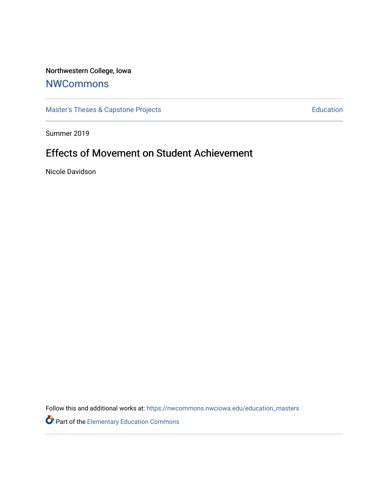## Northwestern College, Iowa

## **[NWCommons](https://nwcommons.nwciowa.edu/)**

[Master's Theses & Capstone Projects](https://nwcommons.nwciowa.edu/education_masters) **Education** Education

Summer 2019

# Effects of Movement on Student Achievement

Nicole Davidson

Follow this and additional works at: [https://nwcommons.nwciowa.edu/education\\_masters](https://nwcommons.nwciowa.edu/education_masters?utm_source=nwcommons.nwciowa.edu%2Feducation_masters%2F163&utm_medium=PDF&utm_campaign=PDFCoverPages)

Part of the [Elementary Education Commons](http://network.bepress.com/hgg/discipline/1378?utm_source=nwcommons.nwciowa.edu%2Feducation_masters%2F163&utm_medium=PDF&utm_campaign=PDFCoverPages)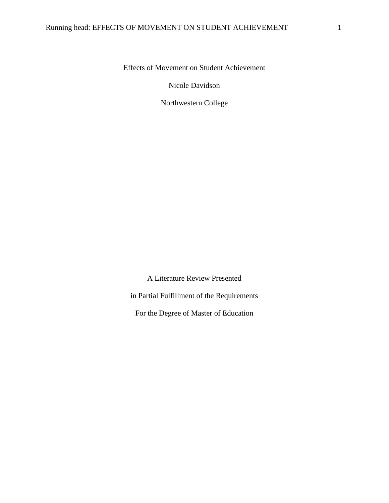Effects of Movement on Student Achievement

Nicole Davidson

Northwestern College

A Literature Review Presented in Partial Fulfillment of the Requirements For the Degree of Master of Education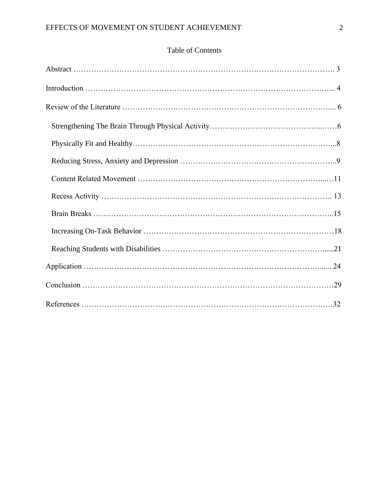## Table of Contents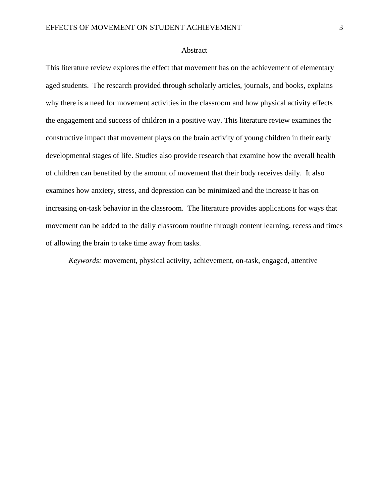#### Abstract

This literature review explores the effect that movement has on the achievement of elementary aged students. The research provided through scholarly articles, journals, and books, explains why there is a need for movement activities in the classroom and how physical activity effects the engagement and success of children in a positive way. This literature review examines the constructive impact that movement plays on the brain activity of young children in their early developmental stages of life. Studies also provide research that examine how the overall health of children can benefited by the amount of movement that their body receives daily. It also examines how anxiety, stress, and depression can be minimized and the increase it has on increasing on-task behavior in the classroom. The literature provides applications for ways that movement can be added to the daily classroom routine through content learning, recess and times of allowing the brain to take time away from tasks.

*Keywords:* movement, physical activity, achievement, on-task, engaged, attentive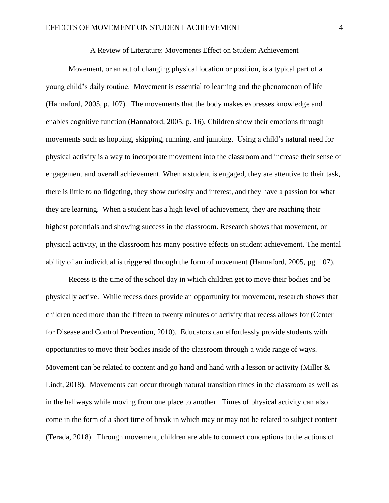Movement, or an act of changing physical location or position, is a typical part of a young child's daily routine. Movement is essential to learning and the phenomenon of life (Hannaford, 2005, p. 107). The movements that the body makes expresses knowledge and enables cognitive function (Hannaford, 2005, p. 16). Children show their emotions through movements such as hopping, skipping, running, and jumping. Using a child's natural need for physical activity is a way to incorporate movement into the classroom and increase their sense of engagement and overall achievement. When a student is engaged, they are attentive to their task, there is little to no fidgeting, they show curiosity and interest, and they have a passion for what they are learning. When a student has a high level of achievement, they are reaching their highest potentials and showing success in the classroom. Research shows that movement, or physical activity, in the classroom has many positive effects on student achievement. The mental ability of an individual is triggered through the form of movement (Hannaford, 2005, pg. 107).

Recess is the time of the school day in which children get to move their bodies and be physically active. While recess does provide an opportunity for movement, research shows that children need more than the fifteen to twenty minutes of activity that recess allows for (Center for Disease and Control Prevention, 2010). Educators can effortlessly provide students with opportunities to move their bodies inside of the classroom through a wide range of ways. Movement can be related to content and go hand and hand with a lesson or activity (Miller & Lindt, 2018). Movements can occur through natural transition times in the classroom as well as in the hallways while moving from one place to another. Times of physical activity can also come in the form of a short time of break in which may or may not be related to subject content (Terada, 2018). Through movement, children are able to connect conceptions to the actions of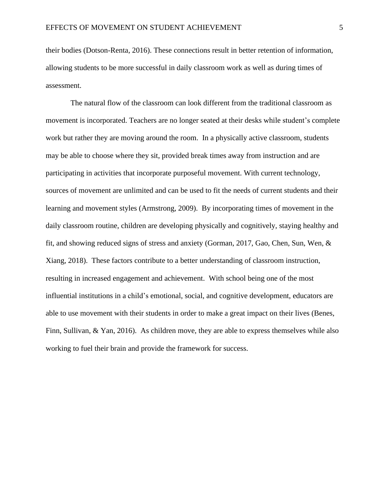their bodies (Dotson-Renta, 2016). These connections result in better retention of information, allowing students to be more successful in daily classroom work as well as during times of assessment.

The natural flow of the classroom can look different from the traditional classroom as movement is incorporated. Teachers are no longer seated at their desks while student's complete work but rather they are moving around the room. In a physically active classroom, students may be able to choose where they sit, provided break times away from instruction and are participating in activities that incorporate purposeful movement. With current technology, sources of movement are unlimited and can be used to fit the needs of current students and their learning and movement styles (Armstrong, 2009). By incorporating times of movement in the daily classroom routine, children are developing physically and cognitively, staying healthy and fit, and showing reduced signs of stress and anxiety (Gorman, 2017, Gao, Chen, Sun, Wen, & Xiang, 2018). These factors contribute to a better understanding of classroom instruction, resulting in increased engagement and achievement. With school being one of the most influential institutions in a child's emotional, social, and cognitive development, educators are able to use movement with their students in order to make a great impact on their lives (Benes, Finn, Sullivan, & Yan, 2016). As children move, they are able to express themselves while also working to fuel their brain and provide the framework for success.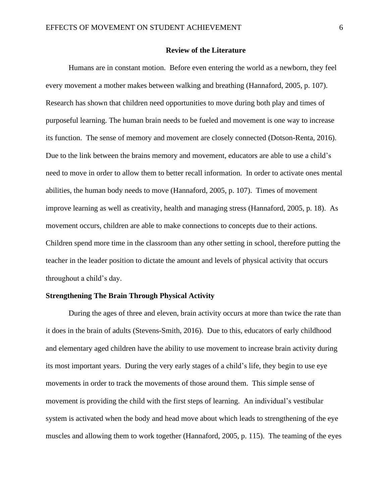#### **Review of the Literature**

Humans are in constant motion. Before even entering the world as a newborn, they feel every movement a mother makes between walking and breathing (Hannaford, 2005, p. 107). Research has shown that children need opportunities to move during both play and times of purposeful learning. The human brain needs to be fueled and movement is one way to increase its function. The sense of memory and movement are closely connected (Dotson-Renta, 2016). Due to the link between the brains memory and movement, educators are able to use a child's need to move in order to allow them to better recall information. In order to activate ones mental abilities, the human body needs to move (Hannaford, 2005, p. 107). Times of movement improve learning as well as creativity, health and managing stress (Hannaford, 2005, p. 18). As movement occurs, children are able to make connections to concepts due to their actions. Children spend more time in the classroom than any other setting in school, therefore putting the teacher in the leader position to dictate the amount and levels of physical activity that occurs throughout a child's day.

#### **Strengthening The Brain Through Physical Activity**

During the ages of three and eleven, brain activity occurs at more than twice the rate than it does in the brain of adults (Stevens-Smith, 2016). Due to this, educators of early childhood and elementary aged children have the ability to use movement to increase brain activity during its most important years. During the very early stages of a child's life, they begin to use eye movements in order to track the movements of those around them. This simple sense of movement is providing the child with the first steps of learning. An individual's vestibular system is activated when the body and head move about which leads to strengthening of the eye muscles and allowing them to work together (Hannaford, 2005, p. 115). The teaming of the eyes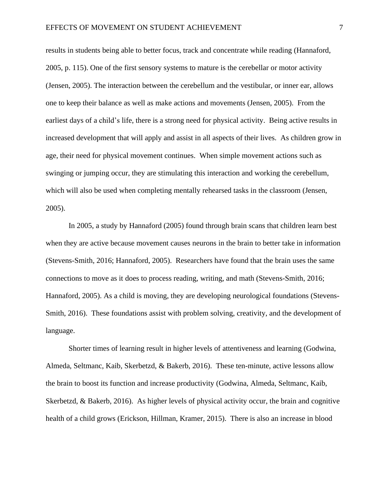results in students being able to better focus, track and concentrate while reading (Hannaford, 2005, p. 115). One of the first sensory systems to mature is the cerebellar or motor activity (Jensen, 2005). The interaction between the cerebellum and the vestibular, or inner ear, allows one to keep their balance as well as make actions and movements (Jensen, 2005). From the earliest days of a child's life, there is a strong need for physical activity. Being active results in increased development that will apply and assist in all aspects of their lives. As children grow in age, their need for physical movement continues. When simple movement actions such as swinging or jumping occur, they are stimulating this interaction and working the cerebellum, which will also be used when completing mentally rehearsed tasks in the classroom (Jensen, 2005).

In 2005, a study by Hannaford (2005) found through brain scans that children learn best when they are active because movement causes neurons in the brain to better take in information (Stevens-Smith, 2016; Hannaford, 2005). Researchers have found that the brain uses the same connections to move as it does to process reading, writing, and math (Stevens-Smith, 2016; Hannaford, 2005). As a child is moving, they are developing neurological foundations (Stevens-Smith, 2016). These foundations assist with problem solving, creativity, and the development of language.

Shorter times of learning result in higher levels of attentiveness and learning (Godwina, Almeda, Seltmanc, Kaib, Skerbetzd, & Bakerb, 2016). These ten-minute, active lessons allow the brain to boost its function and increase productivity (Godwina, Almeda, Seltmanc, Kaib, Skerbetzd, & Bakerb, 2016). As higher levels of physical activity occur, the brain and cognitive health of a child grows (Erickson, Hillman, Kramer, 2015). There is also an increase in blood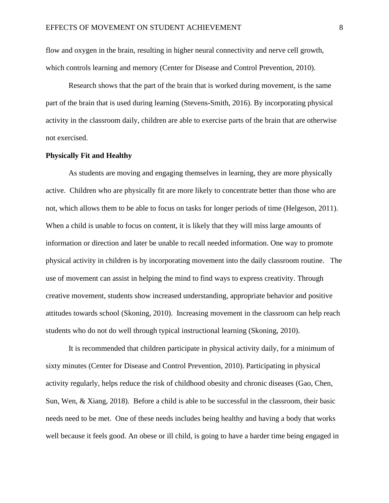flow and oxygen in the brain, resulting in higher neural connectivity and nerve cell growth, which controls learning and memory (Center for Disease and Control Prevention, 2010).

Research shows that the part of the brain that is worked during movement, is the same part of the brain that is used during learning (Stevens-Smith, 2016). By incorporating physical activity in the classroom daily, children are able to exercise parts of the brain that are otherwise not exercised.

#### **Physically Fit and Healthy**

As students are moving and engaging themselves in learning, they are more physically active. Children who are physically fit are more likely to concentrate better than those who are not, which allows them to be able to focus on tasks for longer periods of time (Helgeson, 2011). When a child is unable to focus on content, it is likely that they will miss large amounts of information or direction and later be unable to recall needed information. One way to promote physical activity in children is by incorporating movement into the daily classroom routine. The use of movement can assist in helping the mind to find ways to express creativity. Through creative movement, students show increased understanding, appropriate behavior and positive attitudes towards school (Skoning, 2010). Increasing movement in the classroom can help reach students who do not do well through typical instructional learning (Skoning, 2010).

It is recommended that children participate in physical activity daily, for a minimum of sixty minutes (Center for Disease and Control Prevention, 2010). Participating in physical activity regularly, helps reduce the risk of childhood obesity and chronic diseases (Gao, Chen, Sun, Wen, & Xiang, 2018). Before a child is able to be successful in the classroom, their basic needs need to be met. One of these needs includes being healthy and having a body that works well because it feels good. An obese or ill child, is going to have a harder time being engaged in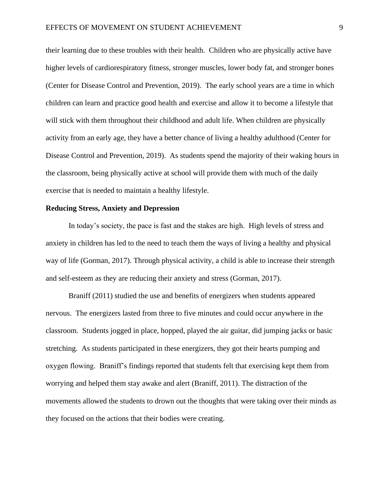their learning due to these troubles with their health. Children who are physically active have higher levels of cardiorespiratory fitness, stronger muscles, lower body fat, and stronger bones (Center for Disease Control and Prevention, 2019). The early school years are a time in which children can learn and practice good health and exercise and allow it to become a lifestyle that will stick with them throughout their childhood and adult life. When children are physically activity from an early age, they have a better chance of living a healthy adulthood (Center for Disease Control and Prevention, 2019). As students spend the majority of their waking hours in the classroom, being physically active at school will provide them with much of the daily exercise that is needed to maintain a healthy lifestyle.

#### **Reducing Stress, Anxiety and Depression**

In today's society, the pace is fast and the stakes are high. High levels of stress and anxiety in children has led to the need to teach them the ways of living a healthy and physical way of life (Gorman, 2017). Through physical activity, a child is able to increase their strength and self-esteem as they are reducing their anxiety and stress (Gorman, 2017).

Braniff (2011) studied the use and benefits of energizers when students appeared nervous. The energizers lasted from three to five minutes and could occur anywhere in the classroom. Students jogged in place, hopped, played the air guitar, did jumping jacks or basic stretching. As students participated in these energizers, they got their hearts pumping and oxygen flowing. Braniff's findings reported that students felt that exercising kept them from worrying and helped them stay awake and alert (Braniff, 2011). The distraction of the movements allowed the students to drown out the thoughts that were taking over their minds as they focused on the actions that their bodies were creating.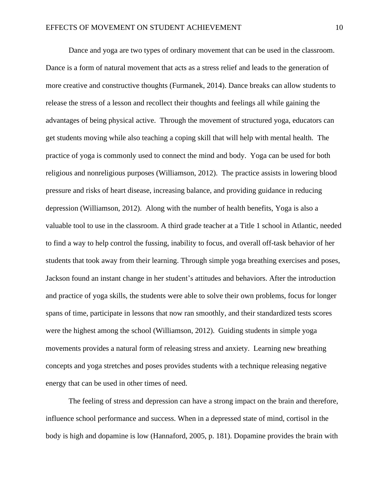Dance and yoga are two types of ordinary movement that can be used in the classroom. Dance is a form of natural movement that acts as a stress relief and leads to the generation of more creative and constructive thoughts (Furmanek, 2014). Dance breaks can allow students to release the stress of a lesson and recollect their thoughts and feelings all while gaining the advantages of being physical active. Through the movement of structured yoga, educators can get students moving while also teaching a coping skill that will help with mental health. The practice of yoga is commonly used to connect the mind and body. Yoga can be used for both religious and nonreligious purposes (Williamson, 2012). The practice assists in lowering blood pressure and risks of heart disease, increasing balance, and providing guidance in reducing depression (Williamson, 2012). Along with the number of health benefits, Yoga is also a valuable tool to use in the classroom. A third grade teacher at a Title 1 school in Atlantic, needed to find a way to help control the fussing, inability to focus, and overall off-task behavior of her students that took away from their learning. Through simple yoga breathing exercises and poses, Jackson found an instant change in her student's attitudes and behaviors. After the introduction and practice of yoga skills, the students were able to solve their own problems, focus for longer spans of time, participate in lessons that now ran smoothly, and their standardized tests scores were the highest among the school (Williamson, 2012). Guiding students in simple yoga movements provides a natural form of releasing stress and anxiety. Learning new breathing concepts and yoga stretches and poses provides students with a technique releasing negative energy that can be used in other times of need.

The feeling of stress and depression can have a strong impact on the brain and therefore, influence school performance and success. When in a depressed state of mind, cortisol in the body is high and dopamine is low (Hannaford, 2005, p. 181). Dopamine provides the brain with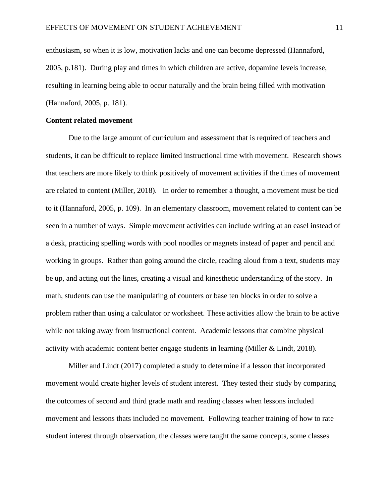enthusiasm, so when it is low, motivation lacks and one can become depressed (Hannaford, 2005, p.181). During play and times in which children are active, dopamine levels increase, resulting in learning being able to occur naturally and the brain being filled with motivation (Hannaford, 2005, p. 181).

#### **Content related movement**

Due to the large amount of curriculum and assessment that is required of teachers and students, it can be difficult to replace limited instructional time with movement. Research shows that teachers are more likely to think positively of movement activities if the times of movement are related to content (Miller, 2018). In order to remember a thought, a movement must be tied to it (Hannaford, 2005, p. 109). In an elementary classroom, movement related to content can be seen in a number of ways. Simple movement activities can include writing at an easel instead of a desk, practicing spelling words with pool noodles or magnets instead of paper and pencil and working in groups. Rather than going around the circle, reading aloud from a text, students may be up, and acting out the lines, creating a visual and kinesthetic understanding of the story. In math, students can use the manipulating of counters or base ten blocks in order to solve a problem rather than using a calculator or worksheet. These activities allow the brain to be active while not taking away from instructional content. Academic lessons that combine physical activity with academic content better engage students in learning (Miller & Lindt, 2018).

Miller and Lindt (2017) completed a study to determine if a lesson that incorporated movement would create higher levels of student interest. They tested their study by comparing the outcomes of second and third grade math and reading classes when lessons included movement and lessons thats included no movement. Following teacher training of how to rate student interest through observation, the classes were taught the same concepts, some classes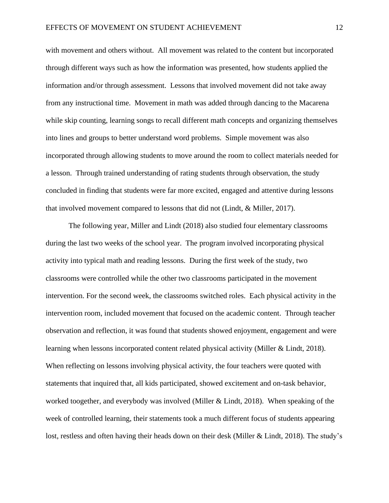with movement and others without. All movement was related to the content but incorporated through different ways such as how the information was presented, how students applied the information and/or through assessment. Lessons that involved movement did not take away from any instructional time. Movement in math was added through dancing to the Macarena while skip counting, learning songs to recall different math concepts and organizing themselves into lines and groups to better understand word problems. Simple movement was also incorporated through allowing students to move around the room to collect materials needed for a lesson. Through trained understanding of rating students through observation, the study concluded in finding that students were far more excited, engaged and attentive during lessons that involved movement compared to lessons that did not (Lindt, & Miller, 2017).

The following year, Miller and Lindt (2018) also studied four elementary classrooms during the last two weeks of the school year. The program involved incorporating physical activity into typical math and reading lessons. During the first week of the study, two classrooms were controlled while the other two classrooms participated in the movement intervention. For the second week, the classrooms switched roles. Each physical activity in the intervention room, included movement that focused on the academic content. Through teacher observation and reflection, it was found that students showed enjoyment, engagement and were learning when lessons incorporated content related physical activity (Miller & Lindt, 2018). When reflecting on lessons involving physical activity, the four teachers were quoted with statements that inquired that, all kids participated, showed excitement and on-task behavior, worked toogether, and everybody was involved (Miller & Lindt, 2018). When speaking of the week of controlled learning, their statements took a much different focus of students appearing lost, restless and often having their heads down on their desk (Miller & Lindt, 2018). The study's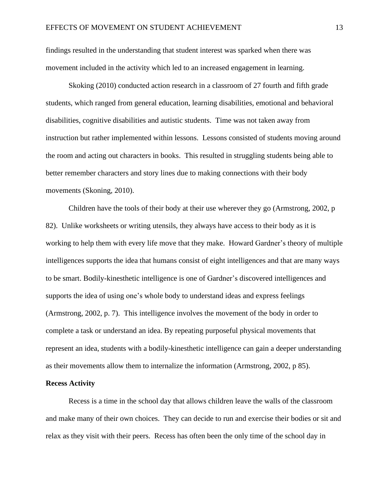findings resulted in the understanding that student interest was sparked when there was movement included in the activity which led to an increased engagement in learning.

Skoking (2010) conducted action research in a classroom of 27 fourth and fifth grade students, which ranged from general education, learning disabilities, emotional and behavioral disabilities, cognitive disabilities and autistic students. Time was not taken away from instruction but rather implemented within lessons. Lessons consisted of students moving around the room and acting out characters in books. This resulted in struggling students being able to better remember characters and story lines due to making connections with their body movements (Skoning, 2010).

Children have the tools of their body at their use wherever they go (Armstrong, 2002, p 82). Unlike worksheets or writing utensils, they always have access to their body as it is working to help them with every life move that they make. Howard Gardner's theory of multiple intelligences supports the idea that humans consist of eight intelligences and that are many ways to be smart. Bodily-kinesthetic intelligence is one of Gardner's discovered intelligences and supports the idea of using one's whole body to understand ideas and express feelings (Armstrong, 2002, p. 7). This intelligence involves the movement of the body in order to complete a task or understand an idea. By repeating purposeful physical movements that represent an idea, students with a bodily-kinesthetic intelligence can gain a deeper understanding as their movements allow them to internalize the information (Armstrong, 2002, p 85).

#### **Recess Activity**

Recess is a time in the school day that allows children leave the walls of the classroom and make many of their own choices. They can decide to run and exercise their bodies or sit and relax as they visit with their peers. Recess has often been the only time of the school day in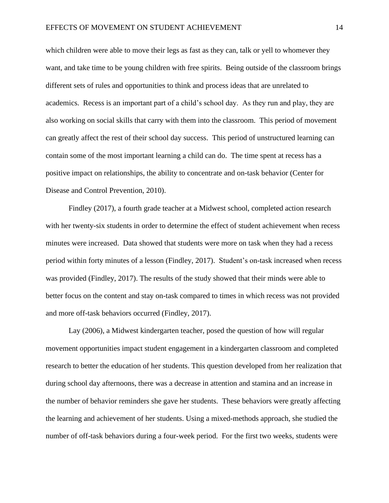which children were able to move their legs as fast as they can, talk or yell to whomever they want, and take time to be young children with free spirits. Being outside of the classroom brings different sets of rules and opportunities to think and process ideas that are unrelated to academics. Recess is an important part of a child's school day. As they run and play, they are also working on social skills that carry with them into the classroom. This period of movement can greatly affect the rest of their school day success. This period of unstructured learning can contain some of the most important learning a child can do. The time spent at recess has a positive impact on relationships, the ability to concentrate and on-task behavior (Center for Disease and Control Prevention, 2010).

Findley (2017), a fourth grade teacher at a Midwest school, completed action research with her twenty-six students in order to determine the effect of student achievement when recess minutes were increased. Data showed that students were more on task when they had a recess period within forty minutes of a lesson (Findley, 2017). Student's on-task increased when recess was provided (Findley, 2017). The results of the study showed that their minds were able to better focus on the content and stay on-task compared to times in which recess was not provided and more off-task behaviors occurred (Findley, 2017).

Lay (2006), a Midwest kindergarten teacher, posed the question of how will regular movement opportunities impact student engagement in a kindergarten classroom and completed research to better the education of her students. This question developed from her realization that during school day afternoons, there was a decrease in attention and stamina and an increase in the number of behavior reminders she gave her students. These behaviors were greatly affecting the learning and achievement of her students. Using a mixed-methods approach, she studied the number of off-task behaviors during a four-week period. For the first two weeks, students were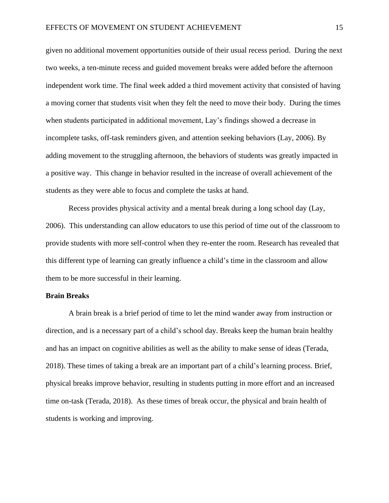given no additional movement opportunities outside of their usual recess period. During the next two weeks, a ten-minute recess and guided movement breaks were added before the afternoon independent work time. The final week added a third movement activity that consisted of having a moving corner that students visit when they felt the need to move their body. During the times when students participated in additional movement, Lay's findings showed a decrease in incomplete tasks, off-task reminders given, and attention seeking behaviors (Lay, 2006). By adding movement to the struggling afternoon, the behaviors of students was greatly impacted in a positive way. This change in behavior resulted in the increase of overall achievement of the students as they were able to focus and complete the tasks at hand.

Recess provides physical activity and a mental break during a long school day (Lay, 2006). This understanding can allow educators to use this period of time out of the classroom to provide students with more self-control when they re-enter the room. Research has revealed that this different type of learning can greatly influence a child's time in the classroom and allow them to be more successful in their learning.

#### **Brain Breaks**

A brain break is a brief period of time to let the mind wander away from instruction or direction, and is a necessary part of a child's school day. Breaks keep the human brain healthy and has an impact on cognitive abilities as well as the ability to make sense of ideas (Terada, 2018). These times of taking a break are an important part of a child's learning process. Brief, physical breaks improve behavior, resulting in students putting in more effort and an increased time on-task (Terada, 2018). As these times of break occur, the physical and brain health of students is working and improving.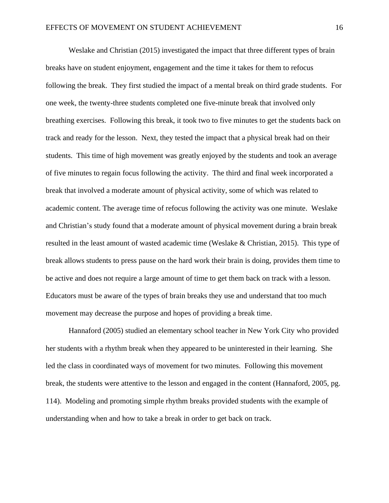Weslake and Christian (2015) investigated the impact that three different types of brain breaks have on student enjoyment, engagement and the time it takes for them to refocus following the break. They first studied the impact of a mental break on third grade students. For one week, the twenty-three students completed one five-minute break that involved only breathing exercises. Following this break, it took two to five minutes to get the students back on track and ready for the lesson. Next, they tested the impact that a physical break had on their students. This time of high movement was greatly enjoyed by the students and took an average of five minutes to regain focus following the activity. The third and final week incorporated a break that involved a moderate amount of physical activity, some of which was related to academic content. The average time of refocus following the activity was one minute. Weslake and Christian's study found that a moderate amount of physical movement during a brain break resulted in the least amount of wasted academic time (Weslake & Christian, 2015). This type of break allows students to press pause on the hard work their brain is doing, provides them time to be active and does not require a large amount of time to get them back on track with a lesson. Educators must be aware of the types of brain breaks they use and understand that too much movement may decrease the purpose and hopes of providing a break time.

Hannaford (2005) studied an elementary school teacher in New York City who provided her students with a rhythm break when they appeared to be uninterested in their learning. She led the class in coordinated ways of movement for two minutes. Following this movement break, the students were attentive to the lesson and engaged in the content (Hannaford, 2005, pg. 114). Modeling and promoting simple rhythm breaks provided students with the example of understanding when and how to take a break in order to get back on track.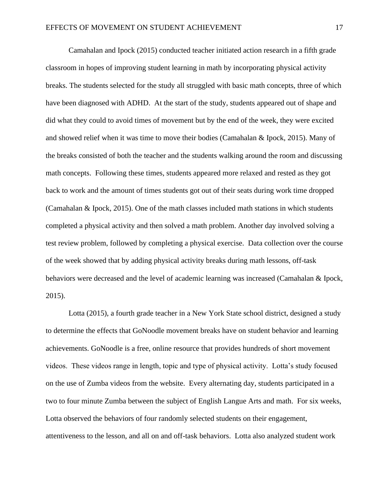Camahalan and Ipock (2015) conducted teacher initiated action research in a fifth grade classroom in hopes of improving student learning in math by incorporating physical activity breaks. The students selected for the study all struggled with basic math concepts, three of which have been diagnosed with ADHD. At the start of the study, students appeared out of shape and did what they could to avoid times of movement but by the end of the week, they were excited and showed relief when it was time to move their bodies (Camahalan & Ipock, 2015). Many of the breaks consisted of both the teacher and the students walking around the room and discussing math concepts. Following these times, students appeared more relaxed and rested as they got back to work and the amount of times students got out of their seats during work time dropped (Camahalan & Ipock, 2015). One of the math classes included math stations in which students completed a physical activity and then solved a math problem. Another day involved solving a test review problem, followed by completing a physical exercise. Data collection over the course of the week showed that by adding physical activity breaks during math lessons, off-task behaviors were decreased and the level of academic learning was increased (Camahalan & Ipock, 2015).

Lotta (2015), a fourth grade teacher in a New York State school district, designed a study to determine the effects that GoNoodle movement breaks have on student behavior and learning achievements. GoNoodle is a free, online resource that provides hundreds of short movement videos. These videos range in length, topic and type of physical activity. Lotta's study focused on the use of Zumba videos from the website. Every alternating day, students participated in a two to four minute Zumba between the subject of English Langue Arts and math. For six weeks, Lotta observed the behaviors of four randomly selected students on their engagement, attentiveness to the lesson, and all on and off-task behaviors. Lotta also analyzed student work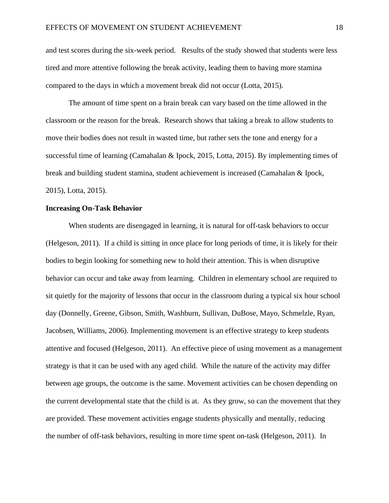and test scores during the six-week period. Results of the study showed that students were less tired and more attentive following the break activity, leading them to having more stamina compared to the days in which a movement break did not occur (Lotta, 2015).

The amount of time spent on a brain break can vary based on the time allowed in the classroom or the reason for the break. Research shows that taking a break to allow students to move their bodies does not result in wasted time, but rather sets the tone and energy for a successful time of learning (Camahalan & Ipock, 2015, Lotta, 2015). By implementing times of break and building student stamina, student achievement is increased (Camahalan & Ipock, 2015), Lotta, 2015).

#### **Increasing On-Task Behavior**

When students are disengaged in learning, it is natural for off-task behaviors to occur (Helgeson, 2011). If a child is sitting in once place for long periods of time, it is likely for their bodies to begin looking for something new to hold their attention. This is when disruptive behavior can occur and take away from learning. Children in elementary school are required to sit quietly for the majority of lessons that occur in the classroom during a typical six hour school day [\(Donnelly,](https://www.ncbi.nlm.nih.gov/pubmed/?term=Donnelly%20JE%5BAuthor%5D&cauthor=true&cauthor_uid=19665037) [Greene,](https://www.ncbi.nlm.nih.gov/pubmed/?term=Greene%20JL%5BAuthor%5D&cauthor=true&cauthor_uid=19665037) [Gibson,](https://www.ncbi.nlm.nih.gov/pubmed/?term=Gibson%20CA%5BAuthor%5D&cauthor=true&cauthor_uid=19665037) [Smith,](https://www.ncbi.nlm.nih.gov/pubmed/?term=Smith%20BK%5BAuthor%5D&cauthor=true&cauthor_uid=19665037) Washburn, [Sullivan,](https://www.ncbi.nlm.nih.gov/pubmed/?term=Sullivan%20DK%5BAuthor%5D&cauthor=true&cauthor_uid=19665037) DuBose, [Mayo,](https://www.ncbi.nlm.nih.gov/pubmed/?term=Mayo%20MS%5BAuthor%5D&cauthor=true&cauthor_uid=19665037) [Schmelzle,](https://www.ncbi.nlm.nih.gov/pubmed/?term=Schmelzle%20KH%5BAuthor%5D&cauthor=true&cauthor_uid=19665037) [Ryan,](https://www.ncbi.nlm.nih.gov/pubmed/?term=Ryan%20JJ%5BAuthor%5D&cauthor=true&cauthor_uid=19665037) Jacobsen, Williams, 2006). Implementing movement is an effective strategy to keep students attentive and focused [\(Helgeson,](https://search-proquest-com.ezproxy.nwciowa.edu/indexinglinkhandler/sng/au/Helgeson,+John/$N?accountid=28306) 2011). An effective piece of using movement as a management strategy is that it can be used with any aged child. While the nature of the activity may differ between age groups, the outcome is the same. Movement activities can be chosen depending on the current developmental state that the child is at. As they grow, so can the movement that they are provided. These movement activities engage students physically and mentally, reducing the number of off-task behaviors, resulting in more time spent on-task (Helgeson, 2011). In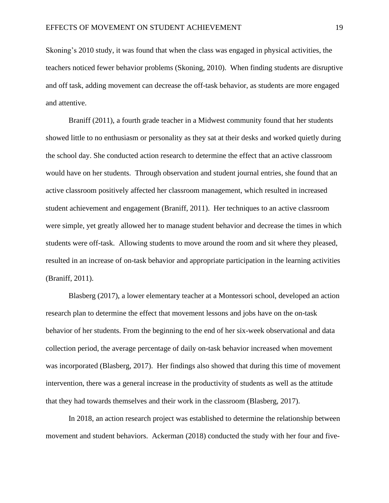Skoning's 2010 study, it was found that when the class was engaged in physical activities, the teachers noticed fewer behavior problems (Skoning, 2010). When finding students are disruptive and off task, adding movement can decrease the off-task behavior, as students are more engaged and attentive.

Braniff (2011), a fourth grade teacher in a Midwest community found that her students showed little to no enthusiasm or personality as they sat at their desks and worked quietly during the school day. She conducted action research to determine the effect that an active classroom would have on her students. Through observation and student journal entries, she found that an active classroom positively affected her classroom management, which resulted in increased student achievement and engagement (Braniff, 2011). Her techniques to an active classroom were simple, yet greatly allowed her to manage student behavior and decrease the times in which students were off-task. Allowing students to move around the room and sit where they pleased, resulted in an increase of on-task behavior and appropriate participation in the learning activities (Braniff, 2011).

Blasberg (2017), a lower elementary teacher at a Montessori school, developed an action research plan to determine the effect that movement lessons and jobs have on the on-task behavior of her students. From the beginning to the end of her six-week observational and data collection period, the average percentage of daily on-task behavior increased when movement was incorporated (Blasberg, 2017). Her findings also showed that during this time of movement intervention, there was a general increase in the productivity of students as well as the attitude that they had towards themselves and their work in the classroom (Blasberg, 2017).

In 2018, an action research project was established to determine the relationship between movement and student behaviors. Ackerman (2018) conducted the study with her four and five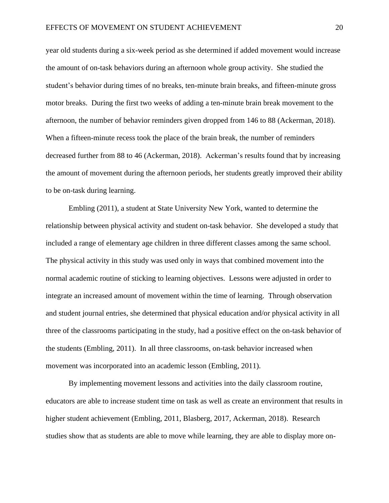year old students during a six-week period as she determined if added movement would increase the amount of on-task behaviors during an afternoon whole group activity. She studied the student's behavior during times of no breaks, ten-minute brain breaks, and fifteen-minute gross motor breaks. During the first two weeks of adding a ten-minute brain break movement to the afternoon, the number of behavior reminders given dropped from 146 to 88 (Ackerman, 2018). When a fifteen-minute recess took the place of the brain break, the number of reminders decreased further from 88 to 46 (Ackerman, 2018). Ackerman's results found that by increasing the amount of movement during the afternoon periods, her students greatly improved their ability to be on-task during learning.

Embling (2011), a student at State University New York, wanted to determine the relationship between physical activity and student on-task behavior. She developed a study that included a range of elementary age children in three different classes among the same school. The physical activity in this study was used only in ways that combined movement into the normal academic routine of sticking to learning objectives. Lessons were adjusted in order to integrate an increased amount of movement within the time of learning. Through observation and student journal entries, she determined that physical education and/or physical activity in all three of the classrooms participating in the study, had a positive effect on the on-task behavior of the students (Embling, 2011). In all three classrooms, on-task behavior increased when movement was incorporated into an academic lesson (Embling, 2011).

By implementing movement lessons and activities into the daily classroom routine, educators are able to increase student time on task as well as create an environment that results in higher student achievement (Embling, 2011, Blasberg, 2017, Ackerman, 2018). Research studies show that as students are able to move while learning, they are able to display more on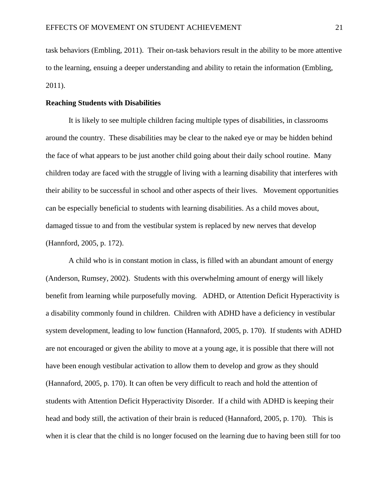task behaviors (Embling, 2011). Their on-task behaviors result in the ability to be more attentive to the learning, ensuing a deeper understanding and ability to retain the information (Embling, 2011).

#### **Reaching Students with Disabilities**

It is likely to see multiple children facing multiple types of disabilities, in classrooms around the country. These disabilities may be clear to the naked eye or may be hidden behind the face of what appears to be just another child going about their daily school routine. Many children today are faced with the struggle of living with a learning disability that interferes with their ability to be successful in school and other aspects of their lives. Movement opportunities can be especially beneficial to students with learning disabilities. As a child moves about, damaged tissue to and from the vestibular system is replaced by new nerves that develop (Hannford, 2005, p. 172).

A child who is in constant motion in class, is filled with an abundant amount of energy (Anderson, Rumsey, 2002). Students with this overwhelming amount of energy will likely benefit from learning while purposefully moving. ADHD, or Attention Deficit Hyperactivity is a disability commonly found in children. Children with ADHD have a deficiency in vestibular system development, leading to low function (Hannaford, 2005, p. 170). If students with ADHD are not encouraged or given the ability to move at a young age, it is possible that there will not have been enough vestibular activation to allow them to develop and grow as they should (Hannaford, 2005, p. 170). It can often be very difficult to reach and hold the attention of students with Attention Deficit Hyperactivity Disorder. If a child with ADHD is keeping their head and body still, the activation of their brain is reduced (Hannaford, 2005, p. 170). This is when it is clear that the child is no longer focused on the learning due to having been still for too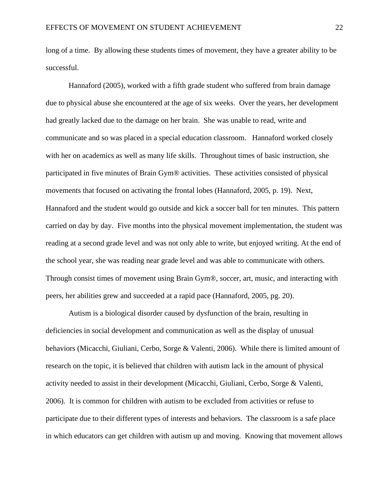long of a time. By allowing these students times of movement, they have a greater ability to be successful.

Hannaford (2005), worked with a fifth grade student who suffered from brain damage due to physical abuse she encountered at the age of six weeks. Over the years, her development had greatly lacked due to the damage on her brain. She was unable to read, write and communicate and so was placed in a special education classroom. Hannaford worked closely with her on academics as well as many life skills. Throughout times of basic instruction, she participated in five minutes of Brain Gym® activities. These activities consisted of physical movements that focused on activating the frontal lobes (Hannaford, 2005, p. 19). Next, Hannaford and the student would go outside and kick a soccer ball for ten minutes. This pattern carried on day by day. Five months into the physical movement implementation, the student was reading at a second grade level and was not only able to write, but enjoyed writing. At the end of the school year, she was reading near grade level and was able to communicate with others. Through consist times of movement using Brain Gym®, soccer, art, music, and interacting with peers, her abilities grew and succeeded at a rapid pace (Hannaford, 2005, pg. 20).

Autism is a biological disorder caused by dysfunction of the brain, resulting in deficiencies in social development and communication as well as the display of unusual behaviors (Micacchi, Giuliani, Cerbo, Sorge & Valenti, 2006). While there is limited amount of research on the topic, it is believed that children with autism lack in the amount of physical activity needed to assist in their development (Micacchi, Giuliani, Cerbo, Sorge & Valenti, 2006). It is common for children with autism to be excluded from activities or refuse to participate due to their different types of interests and behaviors. The classroom is a safe place in which educators can get children with autism up and moving. Knowing that movement allows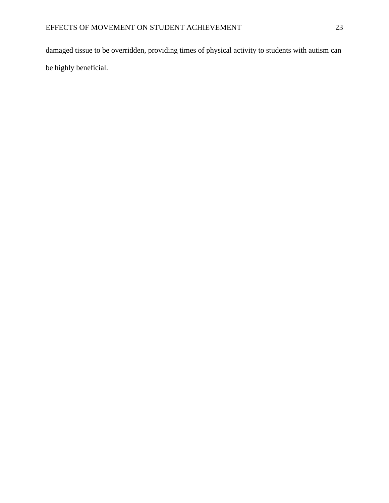damaged tissue to be overridden, providing times of physical activity to students with autism can be highly beneficial.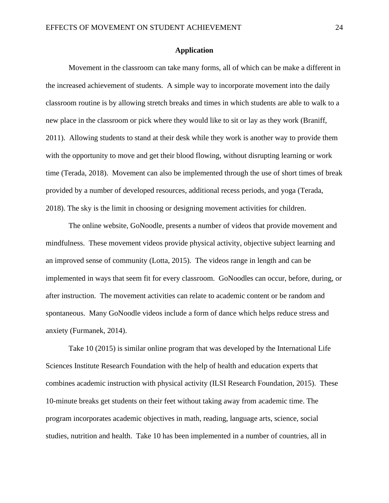#### **Application**

Movement in the classroom can take many forms, all of which can be make a different in the increased achievement of students. A simple way to incorporate movement into the daily classroom routine is by allowing stretch breaks and times in which students are able to walk to a new place in the classroom or pick where they would like to sit or lay as they work (Braniff, 2011). Allowing students to stand at their desk while they work is another way to provide them with the opportunity to move and get their blood flowing, without disrupting learning or work time (Terada, 2018). Movement can also be implemented through the use of short times of break provided by a number of developed resources, additional recess periods, and yoga (Terada, 2018). The sky is the limit in choosing or designing movement activities for children.

The online website, GoNoodle, presents a number of videos that provide movement and mindfulness. These movement videos provide physical activity, objective subject learning and an improved sense of community (Lotta, 2015). The videos range in length and can be implemented in ways that seem fit for every classroom. GoNoodles can occur, before, during, or after instruction. The movement activities can relate to academic content or be random and spontaneous. Many GoNoodle videos include a form of dance which helps reduce stress and anxiety (Furmanek, 2014).

Take 10 (2015) is similar online program that was developed by the International Life Sciences Institute Research Foundation with the help of health and education experts that combines academic instruction with physical activity (ILSI Research Foundation, 2015). These 10-minute breaks get students on their feet without taking away from academic time. The program incorporates academic objectives in math, reading, language arts, science, social studies, nutrition and health. Take 10 has been implemented in a number of countries, all in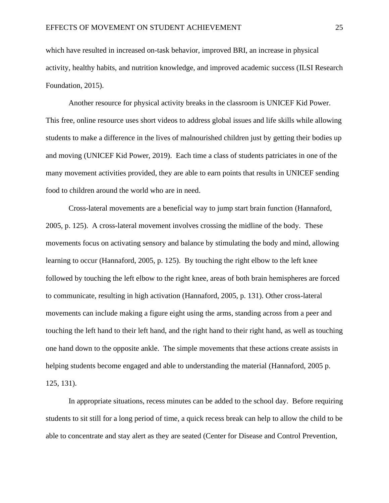which have resulted in increased on-task behavior, improved BRI, an increase in physical activity, healthy habits, and nutrition knowledge, and improved academic success (ILSI Research Foundation, 2015).

Another resource for physical activity breaks in the classroom is UNICEF Kid Power. This free, online resource uses short videos to address global issues and life skills while allowing students to make a difference in the lives of malnourished children just by getting their bodies up and moving (UNICEF Kid Power, 2019). Each time a class of students patriciates in one of the many movement activities provided, they are able to earn points that results in UNICEF sending food to children around the world who are in need.

Cross-lateral movements are a beneficial way to jump start brain function (Hannaford, 2005, p. 125). A cross-lateral movement involves crossing the midline of the body. These movements focus on activating sensory and balance by stimulating the body and mind, allowing learning to occur (Hannaford, 2005, p. 125). By touching the right elbow to the left knee followed by touching the left elbow to the right knee, areas of both brain hemispheres are forced to communicate, resulting in high activation (Hannaford, 2005, p. 131). Other cross-lateral movements can include making a figure eight using the arms, standing across from a peer and touching the left hand to their left hand, and the right hand to their right hand, as well as touching one hand down to the opposite ankle. The simple movements that these actions create assists in helping students become engaged and able to understanding the material (Hannaford, 2005 p. 125, 131).

In appropriate situations, recess minutes can be added to the school day. Before requiring students to sit still for a long period of time, a quick recess break can help to allow the child to be able to concentrate and stay alert as they are seated (Center for Disease and Control Prevention,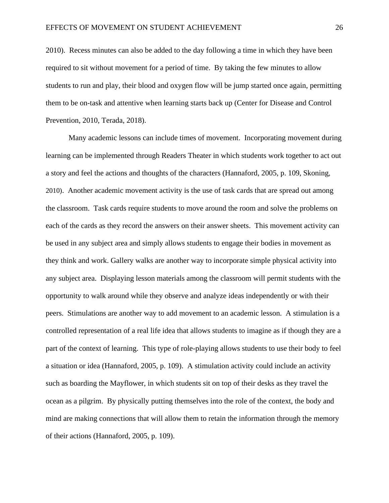2010). Recess minutes can also be added to the day following a time in which they have been required to sit without movement for a period of time. By taking the few minutes to allow students to run and play, their blood and oxygen flow will be jump started once again, permitting them to be on-task and attentive when learning starts back up (Center for Disease and Control Prevention, 2010, Terada, 2018).

Many academic lessons can include times of movement. Incorporating movement during learning can be implemented through Readers Theater in which students work together to act out a story and feel the actions and thoughts of the characters (Hannaford, 2005, p. 109, Skoning, 2010). Another academic movement activity is the use of task cards that are spread out among the classroom. Task cards require students to move around the room and solve the problems on each of the cards as they record the answers on their answer sheets. This movement activity can be used in any subject area and simply allows students to engage their bodies in movement as they think and work. Gallery walks are another way to incorporate simple physical activity into any subject area. Displaying lesson materials among the classroom will permit students with the opportunity to walk around while they observe and analyze ideas independently or with their peers. Stimulations are another way to add movement to an academic lesson. A stimulation is a controlled representation of a real life idea that allows students to imagine as if though they are a part of the context of learning. This type of role-playing allows students to use their body to feel a situation or idea (Hannaford, 2005, p. 109). A stimulation activity could include an activity such as boarding the Mayflower, in which students sit on top of their desks as they travel the ocean as a pilgrim. By physically putting themselves into the role of the context, the body and mind are making connections that will allow them to retain the information through the memory of their actions (Hannaford, 2005, p. 109).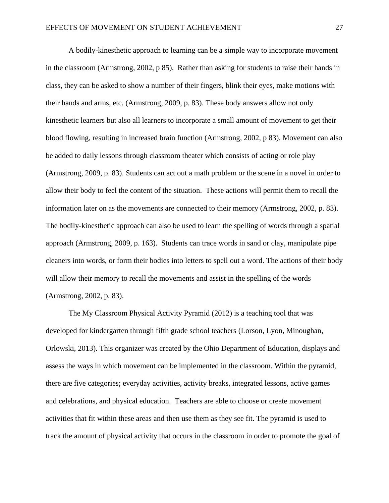A bodily-kinesthetic approach to learning can be a simple way to incorporate movement in the classroom (Armstrong, 2002, p 85). Rather than asking for students to raise their hands in class, they can be asked to show a number of their fingers, blink their eyes, make motions with their hands and arms, etc. (Armstrong, 2009, p. 83). These body answers allow not only kinesthetic learners but also all learners to incorporate a small amount of movement to get their blood flowing, resulting in increased brain function (Armstrong, 2002, p 83). Movement can also be added to daily lessons through classroom theater which consists of acting or role play (Armstrong, 2009, p. 83). Students can act out a math problem or the scene in a novel in order to allow their body to feel the content of the situation. These actions will permit them to recall the information later on as the movements are connected to their memory (Armstrong, 2002, p. 83). The bodily-kinesthetic approach can also be used to learn the spelling of words through a spatial approach (Armstrong, 2009, p. 163). Students can trace words in sand or clay, manipulate pipe cleaners into words, or form their bodies into letters to spell out a word. The actions of their body will allow their memory to recall the movements and assist in the spelling of the words (Armstrong, 2002, p. 83).

The My Classroom Physical Activity Pyramid (2012) is a teaching tool that was developed for kindergarten through fifth grade school teachers (Lorson, Lyon, Minoughan, Orlowski, 2013). This organizer was created by the Ohio Department of Education, displays and assess the ways in which movement can be implemented in the classroom. Within the pyramid, there are five categories; everyday activities, activity breaks, integrated lessons, active games and celebrations, and physical education. Teachers are able to choose or create movement activities that fit within these areas and then use them as they see fit. The pyramid is used to track the amount of physical activity that occurs in the classroom in order to promote the goal of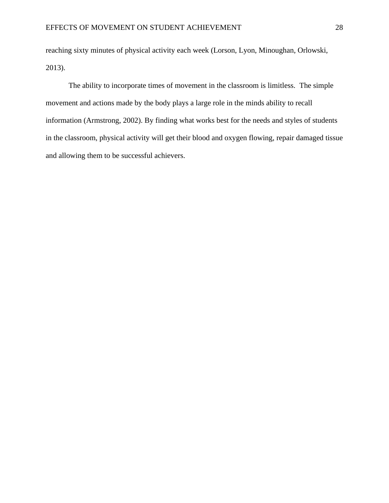reaching sixty minutes of physical activity each week (Lorson, Lyon, Minoughan, Orlowski, 2013).

The ability to incorporate times of movement in the classroom is limitless. The simple movement and actions made by the body plays a large role in the minds ability to recall information (Armstrong, 2002). By finding what works best for the needs and styles of students in the classroom, physical activity will get their blood and oxygen flowing, repair damaged tissue and allowing them to be successful achievers.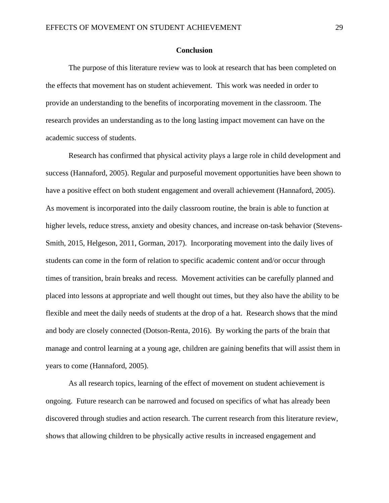#### **Conclusion**

The purpose of this literature review was to look at research that has been completed on the effects that movement has on student achievement. This work was needed in order to provide an understanding to the benefits of incorporating movement in the classroom. The research provides an understanding as to the long lasting impact movement can have on the academic success of students.

Research has confirmed that physical activity plays a large role in child development and success (Hannaford, 2005). Regular and purposeful movement opportunities have been shown to have a positive effect on both student engagement and overall achievement (Hannaford, 2005). As movement is incorporated into the daily classroom routine, the brain is able to function at higher levels, reduce stress, anxiety and obesity chances, and increase on-task behavior (Stevens-Smith, 2015, Helgeson, 2011, Gorman, 2017). Incorporating movement into the daily lives of students can come in the form of relation to specific academic content and/or occur through times of transition, brain breaks and recess. Movement activities can be carefully planned and placed into lessons at appropriate and well thought out times, but they also have the ability to be flexible and meet the daily needs of students at the drop of a hat. Research shows that the mind and body are closely connected (Dotson-Renta, 2016). By working the parts of the brain that manage and control learning at a young age, children are gaining benefits that will assist them in years to come (Hannaford, 2005).

As all research topics, learning of the effect of movement on student achievement is ongoing. Future research can be narrowed and focused on specifics of what has already been discovered through studies and action research. The current research from this literature review, shows that allowing children to be physically active results in increased engagement and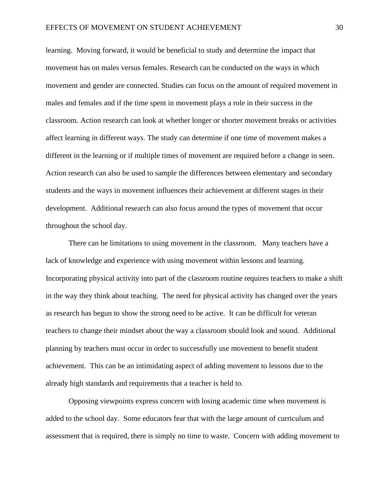learning. Moving forward, it would be beneficial to study and determine the impact that movement has on males versus females. Research can be conducted on the ways in which movement and gender are connected. Studies can focus on the amount of required movement in males and females and if the time spent in movement plays a role in their success in the classroom. Action research can look at whether longer or shorter movement breaks or activities affect learning in different ways. The study can determine if one time of movement makes a different in the learning or if multiple times of movement are required before a change in seen. Action research can also be used to sample the differences between elementary and secondary students and the ways in movement influences their achievement at different stages in their development. Additional research can also focus around the types of movement that occur throughout the school day.

There can be limitations to using movement in the classroom. Many teachers have a lack of knowledge and experience with using movement within lessons and learning. Incorporating physical activity into part of the classroom routine requires teachers to make a shift in the way they think about teaching. The need for physical activity has changed over the years as research has begun to show the strong need to be active. It can be difficult for veteran teachers to change their mindset about the way a classroom should look and sound. Additional planning by teachers must occur in order to successfully use movement to benefit student achievement. This can be an intimidating aspect of adding movement to lessons due to the already high standards and requirements that a teacher is held to.

Opposing viewpoints express concern with losing academic time when movement is added to the school day. Some educators fear that with the large amount of curriculum and assessment that is required, there is simply no time to waste. Concern with adding movement to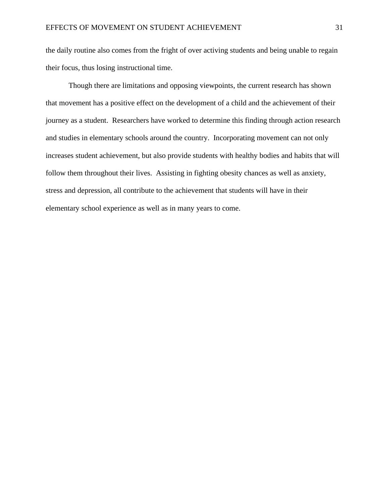the daily routine also comes from the fright of over activing students and being unable to regain their focus, thus losing instructional time.

Though there are limitations and opposing viewpoints, the current research has shown that movement has a positive effect on the development of a child and the achievement of their journey as a student. Researchers have worked to determine this finding through action research and studies in elementary schools around the country. Incorporating movement can not only increases student achievement, but also provide students with healthy bodies and habits that will follow them throughout their lives. Assisting in fighting obesity chances as well as anxiety, stress and depression, all contribute to the achievement that students will have in their elementary school experience as well as in many years to come.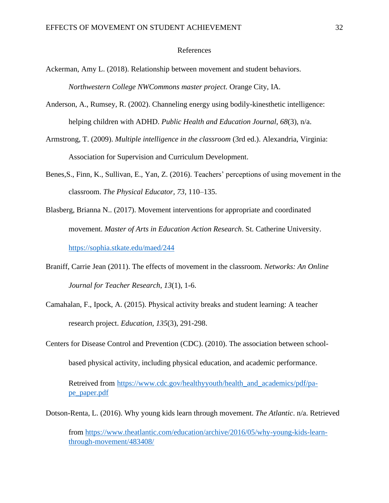#### References

- Ackerman, Amy L. (2018). Relationship between movement and student behaviors. *Northwestern College NWCommons master project.* Orange City, IA.
- Anderson, A., Rumsey, R. (2002). Channeling energy using bodily-kinesthetic intelligence: helping children with ADHD. *Public Health and Education Journal*, *68*(3), n/a.
- Armstrong, T. (2009). *Multiple intelligence in the classroom* (3rd ed.). Alexandria, Virginia: Association for Supervision and Curriculum Development.
- Benes,S., Finn, K., Sullivan, E., Yan, Z. (2016). Teachers' perceptions of using movement in the classroom. *The Physical Educator, 73*, 110–135.
- Blasberg, Brianna N.. (2017). Movement interventions for appropriate and coordinated movement. *Master of Arts in Education Action Research*. St. Catherine University. <https://sophia.stkate.edu/maed/244>
- Braniff, Carrie Jean (2011). The effects of movement in the classroom. *Networks: An Online Journal for Teacher Research*, *13*(1), 1-6.
- Camahalan, F., Ipock, A. (2015). Physical activity breaks and student learning: A teacher research project. *Education*, *135*(3), 291-298.
- Centers for Disease Control and Prevention (CDC). (2010). The association between schoolbased physical activity, including physical education, and academic performance.

Retreived from [https://www.cdc.gov/healthyyouth/health\\_and\\_academics/pdf/pa](https://www.cdc.gov/healthyyouth/health_and_academics/pdf/pa-pe_paper.pdf)[pe\\_paper.pdf](https://www.cdc.gov/healthyyouth/health_and_academics/pdf/pa-pe_paper.pdf)

Dotson-Renta, L. (2016). Why young kids learn through movement. *The Atlantic*. n/a. Retrieved

from [https://www.theatlantic.com/education/archive/2016/05/why-young-kids-learn](https://www.theatlantic.com/education/archive/2016/05/why-young-kids-learn-through-movement/483408/)[through-movement/483408/](https://www.theatlantic.com/education/archive/2016/05/why-young-kids-learn-through-movement/483408/)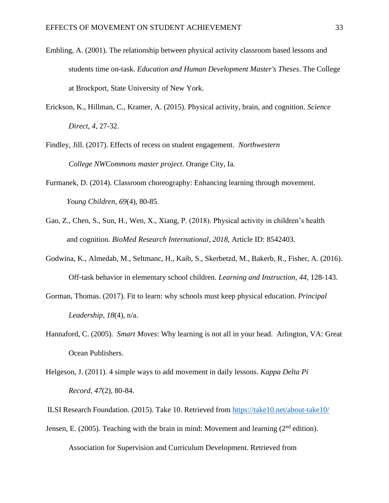- Embling, A. (2001). The relationship between physical activity classroom based lessons and students time on-task. *Education and Human Development Master's Theses*. The College at Brockport, State University of New York.
- Erickson, K., Hillman, C., Kramer, A. (2015). Physical activity, brain, and cognition. *Science Direct, 4*, 27-32.
- Findley, Jill. (2017). Effects of recess on student engagement. *Northwestern College NWCommons master project*. Orange City, Ia.
- Furmanek, D. (2014). Classroom choreography: Enhancing learning through movement.  *Young Children*, *69*(4), 80-85.
- Gao, Z., Chen, S., Sun, H., Wen, X., Xiang, P. (2018). Physical activity in children's health and cognition. *BioMed Research International*, *2018*, Article ID: 8542403.
- Godwina, K., Almedab, M., Seltmanc, H., Kaib, S., Skerbetzd, M., Bakerb, R., Fisher, A. (2016). Off-task behavior in elementary school children. *Learning and Instruction*, *44*, 128-143.
- Gorman, Thomas. (2017). Fit to learn: why schools must keep physical education. *Principal Leadership*, *18*(4), n/a.
- [Hannaford,](https://www.amazon.com/Carla-Hannaford/e/B001KCV6LY/ref=dp_byline_cont_book_1) C. (2005). *Smart Moves*: Why learning is not all in your head. Arlington, VA: Great Ocean Publishers.
- Helgeson, J. (2011). 4 simple ways to add movement in daily lessons. *Kappa Delta Pi Record, 47*(2), 80-84.
- ILSI Research Foundation. (2015). Take 10. Retrieved from<https://take10.net/about-take10/>
- Jensen, E. (2005). Teaching with the brain in mind: Movement and learning ( $2<sup>nd</sup>$  edition). Association for Supervision and Curriculum Development. Retrieved from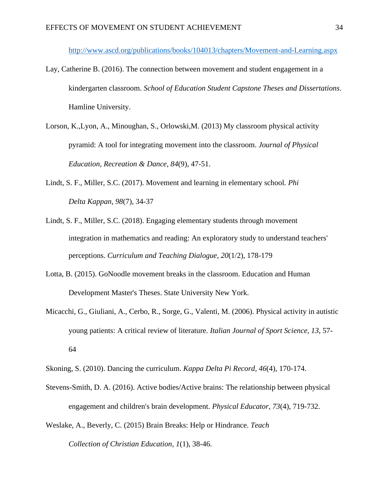<http://www.ascd.org/publications/books/104013/chapters/Movement-and-Learning.aspx>

- Lay, Catherine B. (2016). The connection between movement and student engagement in a kindergarten classroom. *School of Education Student Capstone Theses and Dissertations*. Hamline University.
- Lorson, K.,Lyon, A., Minoughan, S., Orlowski,M. (2013) My classroom physical activity pyramid: A tool for integrating movement into the classroom. *Journal of Physical Education, Recreation & Dance*, *84*(9), 47-51.
- Lindt, S. F., Miller, S.C. (2017). Movement and learning in elementary school*. Phi Delta Kappan*, *98*(7), 34-37
- Lindt, S. F., Miller, S.C. (2018). Engaging elementary students through movement integration in mathematics and reading: An exploratory study to understand teachers' perceptions. *Curriculum and Teaching Dialogue*, *20*(1/2), 178-179
- Lotta, B. (2015). GoNoodle movement breaks in the classroom. Education and Human Development Master's Theses. State University New York.
- Micacchi, G., Giuliani, A., Cerbo, R., Sorge, G., Valenti, M. (2006). Physical activity in autistic young patients: A critical review of literature. *Italian Journal of Sport Science*, *13*, 57- 64
- Skoning, S. (2010). Dancing the curriculum. *Kappa Delta Pi Record, 46*(4), 170-174.
- Stevens-Smith, D. A. (2016). Active bodies/Active brains: The relationship between physical engagement and children's brain development. *Physical Educator*, *73*(4), 719-732.
- Weslake, A., Beverly, C. (2015) Brain Breaks: Help or Hindrance. *Teach*

*Collection of Christian Education*, *1*(1), 38-46.